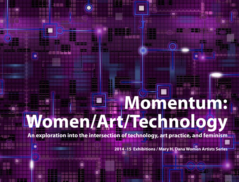# **Momentum: Women/Art/Technology**

**An exploration into the intersection of technology, art practice, and feminism** 

■

**2014 -15 Exhibitions / Mary H. Dana Women Artists Series**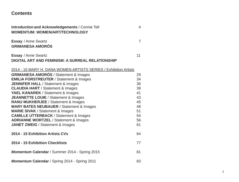# **Contents**

| <b>Introduction and Acknowledgements / Connie Tell</b><br><b>MOMENTUM: WOMEN/ART/TECHNOLOGY</b> | $\overline{\mathcal{A}}$ |
|-------------------------------------------------------------------------------------------------|--------------------------|
| <b>Essay / Anne Swartz</b><br><b>GRIMANESA AMORÓS</b>                                           | $\overline{7}$           |
| <b>Essay / Anne Swartz</b><br><b>DIGITAL ART AND FEMINISM: A SURREAL RELATIONSHIP</b>           | 11                       |
| 2014 - 15 MARY H. DANA WOMEN ARTISTS SERIES / Exhibition Artists                                |                          |
| <b>GRIMANESA AMORÓS / Statement &amp; Images</b>                                                | 29                       |
| <b>EMILIA FORSTREUTER / Statement &amp; Images</b>                                              | 34                       |
| <b>JENNIFER HALL / Statement &amp; Images</b>                                                   | 36                       |
| <b>CLAUDIA HART / Statement &amp; Images</b>                                                    | 39                       |
| <b>YAEL KANAREK / Statement &amp; Images</b>                                                    | 41                       |
| <b>JEANNETTE LOUIE / Statement &amp; Images</b>                                                 | 43                       |
| RANU MUKHERJEE / Statement & Images                                                             | 45                       |
| <b>MARY BATES NEUBAUER / Statement &amp; Images</b>                                             | 48                       |
| <b>MARIE SIVAK / Statement &amp; Images</b>                                                     | 51                       |
| <b>CAMILLE UTTERBACK / Statement &amp; Images</b>                                               | 54                       |
| <b>ADRIANNE WORTZEL / Statement &amp; Images</b>                                                | 56                       |
| <b>JANET ZWEIG / Statement &amp; Images</b>                                                     | 61                       |
| 2014 - 15 Exhibition Artists CVs                                                                | 64                       |
| 2014 - 15 Exhibition Checklists                                                                 | 77                       |
| <b>Momentum Calendar / Summer 2014 - Spring 2015</b>                                            | 81                       |
| <b>Momentum Calendar / Spring 2014 - Spring 2011</b>                                            | 83                       |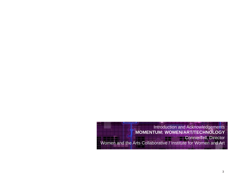Introduction and Acknowledgements **MOMENTUM: WOMEN/ART/TECHNOLOGY** Connie Tell, Director Women and the Arts Collaborative / Institute for Women and Art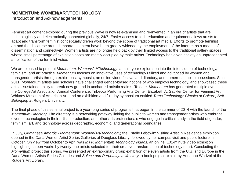### **MOMENTUM: WOMEN/ART/TECHNOLOGY**

Introduction and Acknowledgements

Feminist art content explored during the previous Wave is now re-examined and re-invented in an era of artists that are technologically and electronically connected globally, 24/7. Easier access to tech-education and equipment allows artists to adapt and transform feminist conceptually driven work beyond the scope of traditional art media. Efforts to promote feminist art and the discourse around important content have been greatly widened by the employment of the internet as a means of dissemination and connectivity. Women artists are no longer held back by their limited access to the traditional gallery spaces whose small percentage of exhibition spots are mostly occupied by male artists. Technology has given society an unprecedented amplification of the feminist voice.

We are pleased to present *Momentum: Women/Art/Technology*, a multi-year exploration into the intersection of technology, feminism, and art practice. *Momentum* focuses on innovative uses of technology utilized and advanced by women and transgender artists through exhibitions, symposia, an online video festival and directory, and numerous public discussions. Since 2011, *Momentum* artists and scholars have challenged gender-biased notions of who employs technology, and showcased these artists' sustained ability to break new ground in uncharted artistic realms. To date, *Momentum* has generated multiple events at the College Art Association Annual Conference, Tribecca Performing Arts Center, Elizabeth A. Sackler Center for Feminist Art, Whitney Museum of American Art, and an exhibition and full day symposium entitled *Trans Technology: Circuits of Culture, Self, Belonging* at Rutgers University.

The final phase of this seminal project is a year-long series of programs that began in the summer of 2014 with the launch of the *Momentum Directory*. The directory is a networking gateway linking the public to women and transgender artists who embrace diverse technologies in their artistic production, and other arts professionals who engage in critical study in the field of gender, feminism, art, and technology across geographic, economic, and generational boundaries.

In July, *Grimanesa Amorós - Momentum: Women/Art/Technology,* the Estelle Lebowitz Visiting Artist in Residence exhibition opened in the Dana Women Artist Series Galleries at Douglass Library, followed by her campus visit and public lecture in October. On view from October to April was *MTV: Momentum Technology Videos*, an online, 101-minute video exhibition highlighting screen-works by twenty-one artists selected for their creative transformation of technology to art. Concluding the *Momentum* project this spring, we presented an extraordinary group exhibition of eleven artists from the U.S. and Europe in the Dana Women Artists Series Galleries and *Solace and Perpetuity: a life story*, a book project exhibit by Adrianne Wortzel at the Rutgers Art Library.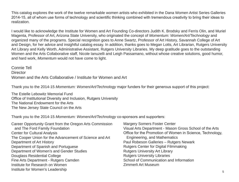This catalog explores the work of the twelve remarkable women artists who exhibited in the Dana Women Artist Series Galleries 2014-15, all of whom use forms of technology and scientific thinking combined with tremendous creativity to bring their ideas to realization.

I would like to acknowledge the Institute for Women and Art Founding Co-directors Judith K. Brodsky and Ferris Olin, and Muriel Magenta, Professor of Art, Arizona State University, who originated the concept of *Momentum: Women/Art/Technology* and organized many of the programs. Special recognition goes to Anne Swartz, Professor of Art History, Savannah College of Art and Design, for her advice and insightful catalog essay. In addition, thanks goes to Megan Lotts, Art Librarian, Rutgers University Art Library and Kelly Worth, Administrative Assistant, Rutgers University Libraries. My deep gratitude goes to the outstanding Women and the Arts Collaborative staff, Nicole Ianuzelli and Leigh Passamano, without whose creative solutions, good humor, and hard work, *Momentum* would not have come to light.

Connie Tell **Director** Women and the Arts Collaborative / Institute for Women and Art

Thank you to the 2014-15 *Momentum: Women/Art/Technology* major funders for their generous support of this project:

The Estelle Lebowitz Memorial Fund Office of Institutional Diversity and Inclusion, Rutgers University The National Endowment for the Arts The New Jersey State Council on the Arts

Thank you to the 2014-15 *Momentum: Women/Art/Technology* co-sponsors and supporters:

| Career Opportunity Grant from the Oregon Arts Commission | <b>Margery Somers Foster Center</b>                       |
|----------------------------------------------------------|-----------------------------------------------------------|
| and The Ford Family Foundation                           | Visual Arts Department - Mason Gross School of the Arts   |
| <b>Center for Cultural Analysis</b>                      | Office for the Promotion of Women in Science, Technology, |
| The Cooper Union for the Advancement of Science and Art  | <b>Engineering, and Mathematics</b>                       |
| Department of Art History                                | Paul Robeson Galleries - Rutgers Newark                   |
| Department of Spanish and Portuguese                     | <b>Rutgers Center for Digital Filmmaking</b>              |
| Department of Women's and Gender Studies                 | <b>Rutgers University Art Library</b>                     |
| <b>Douglass Residential College</b>                      | <b>Rutgers University Libraries</b>                       |
| Fine Arts Department - Rutgers Camden                    | School of Communication and Information                   |
| Institute for Research on Women                          | Zimmerli Art Museum                                       |
| Institute for Women's Leadership                         |                                                           |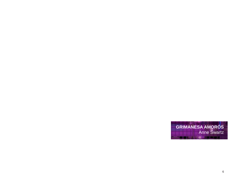**GRIMANESA AMORÓS** Anne Swartz **THE REAL PROPERTY AND INCOME.**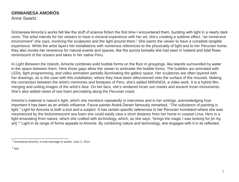# **GRIMANESA AMORÓS**

Anne Swartz

Grimanesa Amorós's works felt like the stuff of science fiction the first time I encountered them, bursting with light in a nearly dark room. The artist intends for her viewers to have a visceral experience with her art; she's creating a sublime effect, "an immersive environment" she says, involving the sculptures and the light around them.<sup>1</sup> She wants the viewer to have a complete tangible experience. While the artist layers her installations with numerous references to the physicality of light and to her Peruvian home, they also invoke her reverence for natural events and spaces, like the aurora borealis she had seen in Iceland and tidal flows reminiscent of the oceans and lakes in her native Peru.

In *Light Between the Islands*, Amorós combines solid bubble forms on the floor in groupings, like islands surrounded by water in the space between them. Here those gaps allow the viewer to ambulate the bubble forms. The bubbles are animated with LEDs, light programming, and video animation partially illuminating the gallery space. Her sculptures are often layered with her drawings, as is the case with this installation, where they have been silkscreened onto the surface of the mounds. Making the connection between the artist's memories and fantasies of Peru, she's added *MIRANDA*, a video work. It is a hybrid film, merging and uniting images of the artist's face. On her face, she's rendered Incan sun masks and ancient Incan monuments. She's also added views of sea foam percolating along the Peruvian coast.

Amorós's material is nature's light, which she mentions repeatedly in interviews and in her writings, acknowledging how important it has been as an artistic influence. Fauve painter André Derain famously remarked, "*The substance of painting is light*." Light for Amorós is both a tool and a subject. It has certain specific references to her Peruvian homeland where she was mesmerized by the bioluminescent sea foam she could easily view a short distance from her home in coastal Lima. Hers is a light emanating from nature, which she crafted with technology, which, as she says, "brings the magic I was looking for [in my art]."2 Light in its range of forms appeals to Amorós. By combining nature and technology, she engages with it in its reflected,

\_\_\_\_\_\_\_\_\_\_\_\_\_\_\_\_\_\_\_\_\_\_\_\_\_\_\_

 $2$  Ibid.

 $1$  Grimanesa Amorós, e-mail message to author, June 3, 2014.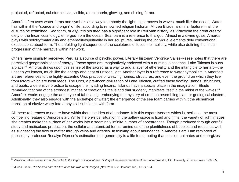projected, refracted, substance-less, visible, atmospheric, glowing, and shining forms.

Amorós often uses water forms and symbols as a way to embody the light. Light moves in waves, much like the ocean. Water has within it the "source and origin" of life, according to renowned religion historian Mircea Eliade, a similar feature in all the cultures he examined. Sea foam, or *espuma del mar*, has a significant role in Peruvian history, as Viracocha the great creator diety of the Incan cosmology, emerged from the ocean. Sea foam is a reference to this god. Almost in a divine guise, Amorós plays with solidity/materiality and ethereality/spirituality in her sculptures, making the individual elements defy conventional expectations about form. The unfolding light sequence of the sculptures diffuses their solidity, while also defining the linear progression of the narrative within her work.

Others have similarly perceived Peru as a source of psychic power. Literary historian Verónica Salles-Reese notes that there are perceived geographic sites of energy: "these spots are imaginatively endowed with a numinous essence. Lake Titicaca is such a place."3 Amorós draws upon this sense of the sacred as a way to add a layer of ethereality and the intangible to her art—the unseen yet known, much like the energy and heat of unseen light. Another layer is a reference to water symbolism in Amorós's art are references to the highly eccentric Uros practice of weaving homes, structures, and even the ground on which they live from *totora* which are local reeds. The Uros, a pre-Incan civilization of Lake Titicaca, crafted these floating islands, structures, and boats, a defensive practice to escape the invading Incans. Islands have a special place in the imagination; Eliade remarked that one of the strongest images of creation "is the island that suddenly manifests itself in the midst of the waves."4 Amorós's works engage the archetype of fabricating, embodying the mystery of creation resembling plant or geological clusters. Additionally, they also engage with the archetype of water; the emergence of the sea foam carries within it the alchemical transition of elusive water into a physical substance with form.

All these references to nature have within them the idea of abundance. It is this expansiveness which is, perhaps, the most compelling feature of Amorós's art. While the physical situation in the gallery space is fixed and finite, the variety of light images she creates make the surface of her works into a seemingly infinite number of appearances. Though produced through careful study and meticulous production, the cellular and atomized forms remind us of the plentifulness of bubbles and reeds, as well as suggesting the flow of matter through veins and arteries. In thinking about abundance in Amorós's art, I am reminded of philosophy professor Rosalyn Diprose's estimation that generosity is a life force, noting that passion animates and energizes

\_\_\_\_\_\_\_\_\_\_\_\_\_\_\_\_\_\_\_\_\_\_\_\_\_\_\_

<sup>&</sup>lt;sup>3</sup> Verónica Salles-Reese, *From Viracocha to the Virgin of Copacabana: History of the Representation of the Sacred (Austin, TX: University of Texas Press, 1997), 5.* 

<sup>4</sup> Mircea Eliade, *The Sacred and The Profane: The Nature of Religion* (New York, NY: Harcourt, Inc., 1987), 134.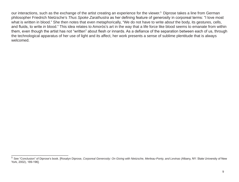our interactions, such as the exchange of the artist creating an experience for the viewer.<sup>5</sup> Diprose takes a line from German philosopher Friedrich Nietzsche's *Thus Spoke Zarathustra* as her defining feature of generosity in corporeal terms: "I love most what is written in blood." She then notes that even metaphorically, "We do not have to write *about* the body, its gestures, cells, and fluids, to write *in* blood." This idea relates to Amorós's art in the way that a life force like blood seems to emanate from within them, even though the artist has not "written" about flesh or innards. As a defiance of the separation between each of us, through the technological apparatus of her use of light and its affect, her work presents a sense of sublime plentitude that is always welcomed.

\_\_\_\_\_\_\_\_\_\_\_\_\_\_\_\_\_\_\_\_\_\_\_\_\_\_\_

<sup>5</sup> See "Conclusion" of Diprose's book. [Rosalyn Diprose, *Corporeal Generosity: On Giving with Nietzsche, Merleau-Ponty, and Levinas* (Albany, NY: State University of New York, 2002), 189-196].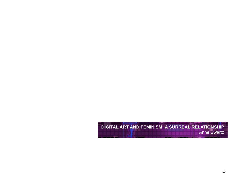# **DIGITAL ART AND FEMINISM: A SURREAL RELATIONSHIP** Anne Swartz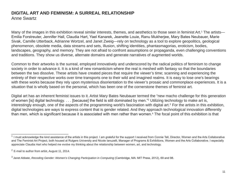#### **DIGITAL ART AND FEMINISM: A SURREAL RELATIONSHIP** Anne Swartz

Many of the images in this exhibition reveal similar interests, themes, and aesthetics to those seen in feminist Art.<sup>1</sup> The artists— Emilia Forstreuter, Jennifer Hall, Claudia Hart, Yael Kanarek, Jeanette Louie, Ranu Mukherjee, Mary Bates Neubauer, Marie Sivak, Camille Utterback, Adrianne Wortzel, and Janet Zweig—rely on technology as a tool to explore geopolitics, geological phenomenon, obsolete media, data streams and sets, illusion, shifting identities, phantasmagorias, eroticism, bodies, landscapes, geography, and memory. They are not afraid to confront assumptions or propaganda, even challenging conventions and traditions. They show us diverse, alternate domains and generate narratives of augmented worlds.

Common to their artworks is the surreal, employed innovatively and underscored by the radical politics of feminism to change society in order to advance it. It is a kind of new romanticism where the real is meshed with fantasy so that the boundaries between the two dissolve. These artists have created pieces that require the viewer's time; scanning and experiencing the entirety of their respective works over time transports one to their wild and imagined realms. It is easy to lose one's bearings with these works because they rely upon mysterious disorientation to the viewer's prosaic and commonplace experiences. It is a situation that is wholly based on the personal, which has been one of the cornerstone themes of feminist art.

Digital art has an inherent feminist issues to it. Artist Mary Bates Neubauer termed the "new macho challenge for this generation of women [is] digital technology. . . . [because] the field is still dominated by men."<sup>2</sup> Utilizing technology to make art is, interestingly enough, one of the aspects of the programming world's fascination with digital art.<sup>3</sup> For the artists in this exhibition, digital technologies are ways to express content that is gender related. And they approach technological innovation differently than men, which is significant because it is associated with men rather than women.<sup>4</sup> The focal point of this exhibition is that

\_\_\_\_\_\_\_\_\_\_\_\_\_\_\_\_\_\_\_\_\_\_\_\_\_\_\_

<sup>&</sup>lt;sup>1</sup> I must acknowledge the kind assistance of the artists in this project. I am grateful for the support I received from Connie Tell, Director, Women and the Arts Collaborative and The Feminist Art Project, both housed at Rutgers University and Nicole Ianuzelli, Manager of Programs & Exhibitions, Women and the Arts Collaborative. I especially appreciate Claudia Hart who helped me evolve my thinking about the relationship between women, art, and technology.

<sup>2</sup> E-mail to author from artist, August 11, 2014.

<sup>3</sup> Janet Abbate, *Recoding Gender: Women's Changing Participation in Computing* (Cambridge, MA: MIT Press, 2012), 69 and 98.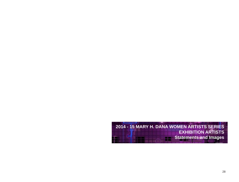**2014 - 15 MARY H. DANA WOMEN ARTISTS SERIES EXHIBITION ARTISTS Statements and Images** EE.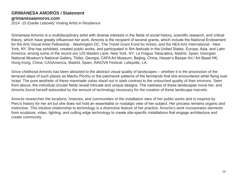## **GRIMANESA AMORÓS / Statement**

#### **grimanesaamoros.com**

2014 -15 Estelle Lebowitz Visiting Artist in Residence

Grimanesa Amorós is a multidisciplinary artist with diverse interests in the fields of social history, scientific research, and critical theory, which have greatly influenced her work. Amorós is the recipient of several grants, which include the National Endowment for the Arts Visual Artist Fellowship - Washington DC, The Travel Grant Fund for Artists, and the NEA Arts International - New York, NY. She has exhibited, created public works, and participated in film festivals in the United States, Europe, Asia, and Latin America; among some of the recent are 125 Maiden Lane, New York, NY; La Fragua Tabacalera, Madrid, Spain; Georgian National Museum's National Gallery, Tbilisi, Georgia; CAFA Art Museum, Beijing, China, Harper's Bazaar Art / Art Basel HK, Hong Kong, China; CASAmerica, Madrid, Spain; INNOV8 Festival, Lafayette, LA.

Since childhood Amorós has been attracted to the abstract visual quality of landscapes – whether it is the procession of the terraced steps of such places as Machu Picchu or the patchwork patterns of the farmlands that she encountered while flying over Israel. The pure aesthetic of these manmade vistas stand out in stark contrast to the untouched quality of their environs. Seen from above, the individual circular fields reveal intricate and unique designs. The vastness of these landscapes move her, and Amorós found herself astounded by the amount of technology necessary for the creation of these landscape marvels.

Amorós researches the locations, histories, and communities of the installation sites of her public works and is inspired by Peru's history for her art but she does not hold an essentialist or nostalgic view of her subject. Her process remains organic and instinctive. This intuitive relationship to technology is a distinctive feature of her practice. Amorós's work incorporates elements from sculpture, video, lighting, and cutting edge technology to create site-specific installations that engage architecture and create community.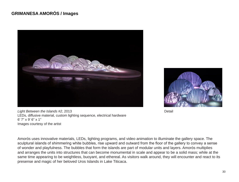



Detail

*Light Between the Islands #2*, 2013 LEDs, diffusive material, custom lighting sequence, electrical hardware 6' 7" x 9' 6" x 1" Images courtesy of the artist

Amorós uses innovative materials, LEDs, lighting programs, and video animation to illuminate the gallery space. The sculptural islands of shimmering white bubbles, rise upward and outward from the floor of the gallery to convey a sense of wonder and playfulness. The bubbles that form the islands are part of modular units and layers. Amorós multiplies and arranges the units into structures that can become monumental in scale and appear to be a solid mass; while at the same time appearing to be weightless, buoyant, and ethereal. As visitors walk around, they will encounter and react to its presense and magic of her beloved Uros Islands in Lake Titicaca.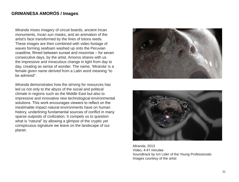*Miranda* mixes imagery of circuit boards, ancient Incan monuments, Incan sun masks, and an animation of the artist's face transformed by the lines of totora reeds. These images are then combined with video footage of waves forming seafoam washed up onto the Peruvian coastline, filmed between sunset and moonrise – for seven consecutive days, by the artist. Amoros shares with us the impressive and miraculous change in light from day to day, creating as sense of wonder. The name, 'Miranda' is a female given name derived from a Latin word meaning "to be admired".

*Miranda* demonstrates how the striving for resources has led us not only to the abyss of the social and political climate in regions such as the Middle East but also to impressive and innovative new technological environmental solutions. This work encourages viewers to reflect on the inestimable impact natural environments have on human history, underlining fundamental sources of conflict in many sparse outposts of civilization. It compels us to question what is "natural" by allowing a glimpse of the cryptic yet conspicuous signature we leave on the landscape of our planet.





*Miranda*, 2013 Video, 4:41 minutes Soundtrack by Ivri Lider of the Young Professionals Images courtesy of the artist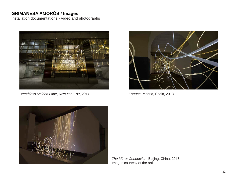Installation documentations - Video and photographs



*Breathless Maiden Lane*, New York, NY, 2014 *Fortuna*, Madrid, Spain, 2013





*The Mirror Connection,* Beijing, China, 2013 Images courtesy of the artist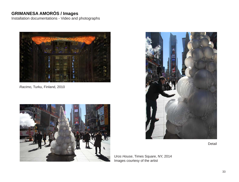Installation documentations - Video and photographs



*Racimo,* Turku, Finland, 2010





Detail

*Uros House*, Times Square, NY, 2014 Images courtesy of the artist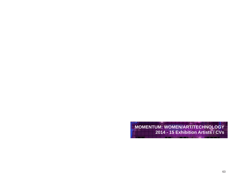**MOMENTUM: WOMEN/ART/TECHNOLOGY 2014 - 15 Exhibition Artists / CVs**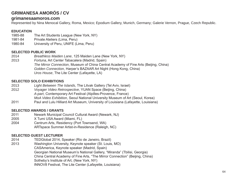# **GRIMANESA AMORÓS / CV**

#### **grimanesaamoros.com**

Represented by Nina Menocal Gallery, Roma, Mexico; Epodium Gallery, Munich, Germany; Galerie Vernon, Prague, Czech Republic.

#### **EDUCATION**

- 1985-88 The Art Students League (New York, NY)
- 1981-84 Private Ateliers (Lima, Peru)
- 1980-84 University of Peru, UNIFE (Lima, Peru)

#### **SELECTED PUBLIC WORK**

- 2014 *Breathless Maiden Lane*, 125 Maiden Lane (New York, NY)
- 2013 *Fortuna*, Art Center Tabacalera (Madrid, Spain) *The Mirror Connection*, Museum of China Central Academy of Fine Arts (Beijing, China) *Golden Connection*, Harper's BAZAAR Art Night (Hong Kong, China) *Uros House*, The Lite Center (Lafayette, LA)

#### **SELECTED SOLO EXHIBITIONS**

- 2013 *Light Between The Islands*, The Litvak Gallery (Tel Aviv, Israel)
- 2012 *Voyager Video Retrospective*, YUAN Space (Beijing, China)
	- *A-part*, Contemporary Art Festival (Alpilles-Provence, France)
	- *MoA Video Exhibition*, Seoul National University Museum of Art (Seoul, Korea)
- 2011 Paul and Lulu Hilliard Art Museum, University of Louisiana (Lafayette, Louisiana)

#### **SELECTED AWARDS / GRANTS**

- 2011 Newark Municipal Council Cultural Award (Newark, NJ)
- 2005 X Tumi USA Award (Miami, FL)
- 2004 Centrum Arts, Residency (Port Townsend, WA) ARTspace Summer Artist-in-Residence (Raleigh, NC)

#### **SELECTED GUEST LECTURER**

- 2014 TEDGlobal 2014, Speaker (Rio de Janeiro, Brazil)
- 2013 Washington University, Keynote speaker (St. Louis, MO) CASAmerica, Keynote speaker (Madrid, Spain) Georgian National Museum's National Gallery, "Miranda" (Tbilisi, Georgia) China Central Academy of Fine Arts, "The Mirror Connection" (Beijing, China) Sotheby's Institute of Art, (New York, NY) INNOV8 Festival, The Lite Center (Lafayette, Louisiana)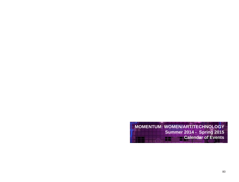**MOMENTUM: WOMEN/ART/TECHNOLOGY Summer 2014 - Spring 2015 Calendar of Events** es: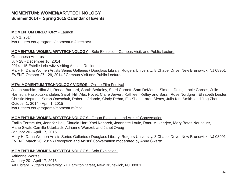#### **MOMENTUM: WOMEN/ART/TECHNOLOGY Summer 2014 - Spring 2015 Calendar of Events**

#### **MOMENTUM DIRECTORY** - Launch

July 1, 2014 iwa.rutgers.edu/programs/momentum/directory/

#### **MOMENTUM: WOMEN/ART/TECHNOLOGY** - Solo Exhibition, Campus Visit, and Public Lecture

Grimanesa Amorós July 28 - December 10, 2014 2014 - 15 Estelle Lebowitz Visiting Artist in Residence Mary H. Dana Women Artists Series Galleries / Douglass Library, Rutgers University, 8 Chapel Drive, New Brunswick, NJ 08901 EVENT: October 27 - 29, 2014 / Campus Visit and Public Lecture

#### **MTV: MOMENTUM TECHNOLOGY VIDEOS** - Online Film Festival

Joeun Aatchim, Hiba Ali, Renae Barnard, Sarah Berkeley, Sheri Cornett, Sam DeMonte, Simone Doing, Lacie Garnes, Julie Harrison, Hästköttskandalen, Sarah Hill, Alex Hovet, Claire Jervert, Kathleen Kelley and Sarah Rose Nordgren, Elizabeth Leister, Christie Neptune, Sarah Oneschuk, Roberta Orlando, Cindy Rehm, Ela Shah, Loren Siems, Julia Kim Smith, and Jing Zhou October 1, 2014 - April 1, 2015 iwa.rutgers.edu/programs/momentum/mtv

#### **MOMENTUM: WOMEN/ART/TECHNOLOGY** - Group Exhibition and Artists' Conversation

Emilia Forstreuter, Jennifer Hall, Claudia Hart, Yael Kanarek, Jeannette Louie, Ranu Mukherjee, Mary Bates Neubauer, Marie Sivak, Camille Utterback, Adrianne Wortzel, and Janet Zweig January 20 - April 17, 2015 Mary H. Dana Women Artists Series Galleries / Douglass Library, Rutgers University, 8 Chapel Drive, New Brunswick, NJ 08901 EVENT: March 26, 2015 / Reception and Artists' Conversation moderated by Anne Swartz

#### **MOMENTUM: WOMEN/ART/TECHNOLOGY** - Solo Exhibition

Adrianne Wortzel January 20 - April 17, 2015 Art Library, Rutgers University, 71 Hamilton Street, New Brunswick, NJ 08901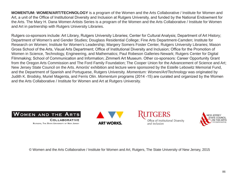**MOMENTUM: WOMEN/ART/TECHNOLOGY** is a program of the Women and the Arts Collaborative / Institute for Women and Art, a unit of the Office of Institutional Diversity and Inclusion at Rutgers University, and funded by the National Endowment for the Arts. The Mary H. Dana Women Artists Series is a program of the Women and the Arts Collaborative / Institute for Women and Art in partnership with Rutgers University Libraries.

Rutgers co-sponsors include: Art Library, Rutgers University Libraries; Center for Cultural Analysis; Department of Art History; Department of Women's and Gender Studies; Douglass Residential College; Fine Arts Department-Camden; Institute for Research on Women; Institute for Women's Leadership; Margery Somers Foster Center, Rutgers University Libraries; Mason Gross School of the Arts, Visual Arts Department; Office of Institutional Diversity and Inclusion; Office for the Promotion of Women in Science, Technology, Engineering, and Mathematics; Paul Robeson Galleries-Newark; Rutgers Center for Digital Filmmaking; School of Communication and Information; Zimmerli Art Museum. Other co-sponsors: Career Opportunity Grant from the Oregon Arts Commission and The Ford Family Foundation; The Cooper Union for the Advancement of Science and Art; New Jersey State Council on the Arts. Amorós' exhibition and lecture were sponsored by the Estelle Lebowitz Memorial Fund, and the Department of Spanish and Portuguese, Rutgers University. *Momentum: Women/Art/Technology* was originated by Judith K. Brodsky, Muriel Magenta, and Ferris Olin. *Momentum* programs (2014 -15) are curated and organized by the Women and the Arts Collaborative / Institute for Women and Art at Rutgers University.



© Women and the Arts Collaborative / Institute for Women and Art, Rutgers, The State University of New Jersey, 2015